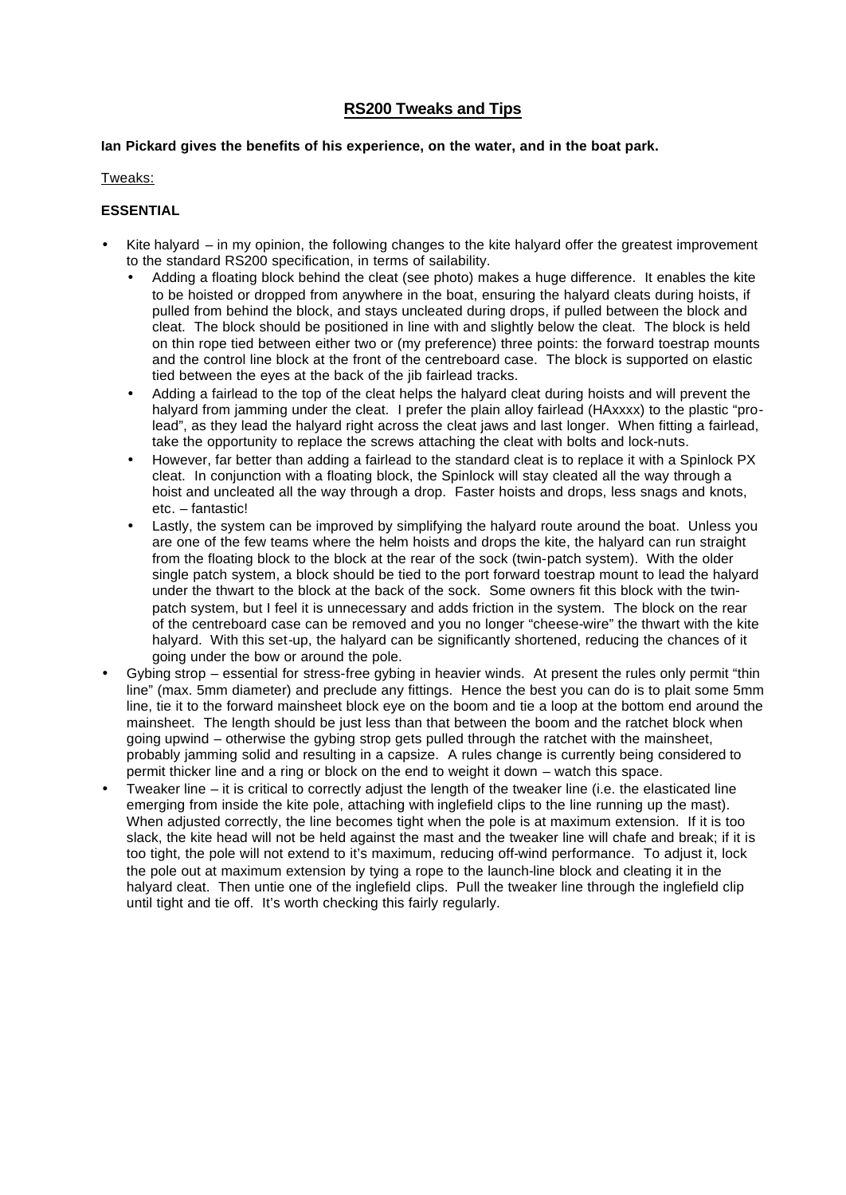# **RS200 Tweaks and Tips**

#### **Ian Pickard gives the benefits of his experience, on the water, and in the boat park.**

#### Tweaks:

## **ESSENTIAL**

- Kite halyard in my opinion, the following changes to the kite halyard offer the greatest improvement to the standard RS200 specification, in terms of sailability.
	- Adding a floating block behind the cleat (see photo) makes a huge difference. It enables the kite to be hoisted or dropped from anywhere in the boat, ensuring the halyard cleats during hoists, if pulled from behind the block, and stays uncleated during drops, if pulled between the block and cleat. The block should be positioned in line with and slightly below the cleat. The block is held on thin rope tied between either two or (my preference) three points: the forward toestrap mounts and the control line block at the front of the centreboard case. The block is supported on elastic tied between the eyes at the back of the jib fairlead tracks.
	- Adding a fairlead to the top of the cleat helps the halyard cleat during hoists and will prevent the halyard from jamming under the cleat. I prefer the plain alloy fairlead (HAxxxx) to the plastic "prolead", as they lead the halyard right across the cleat jaws and last longer. When fitting a fairlead, take the opportunity to replace the screws attaching the cleat with bolts and lock-nuts.
	- However, far better than adding a fairlead to the standard cleat is to replace it with a Spinlock PX cleat. In conjunction with a floating block, the Spinlock will stay cleated all the way through a hoist and uncleated all the way through a drop. Faster hoists and drops, less snags and knots, etc. – fantastic!
	- Lastly, the system can be improved by simplifying the halyard route around the boat. Unless you are one of the few teams where the helm hoists and drops the kite, the halyard can run straight from the floating block to the block at the rear of the sock (twin-patch system). With the older single patch system, a block should be tied to the port forward toestrap mount to lead the halyard under the thwart to the block at the back of the sock. Some owners fit this block with the twinpatch system, but I feel it is unnecessary and adds friction in the system. The block on the rear of the centreboard case can be removed and you no longer "cheese-wire" the thwart with the kite halyard. With this set-up, the halyard can be significantly shortened, reducing the chances of it going under the bow or around the pole.
- Gybing strop essential for stress-free gybing in heavier winds. At present the rules only permit "thin line" (max. 5mm diameter) and preclude any fittings. Hence the best you can do is to plait some 5mm line, tie it to the forward mainsheet block eye on the boom and tie a loop at the bottom end around the mainsheet. The length should be just less than that between the boom and the ratchet block when going upwind – otherwise the gybing strop gets pulled through the ratchet with the mainsheet, probably jamming solid and resulting in a capsize. A rules change is currently being considered to permit thicker line and a ring or block on the end to weight it down – watch this space.
- Tweaker line it is critical to correctly adjust the length of the tweaker line (i.e. the elasticated line emerging from inside the kite pole, attaching with inglefield clips to the line running up the mast). When adjusted correctly, the line becomes tight when the pole is at maximum extension. If it is too slack, the kite head will not be held against the mast and the tweaker line will chafe and break; if it is too tight, the pole will not extend to it's maximum, reducing off-wind performance. To adjust it, lock the pole out at maximum extension by tying a rope to the launch-line block and cleating it in the halyard cleat. Then untie one of the inglefield clips. Pull the tweaker line through the inglefield clip until tight and tie off. It's worth checking this fairly regularly.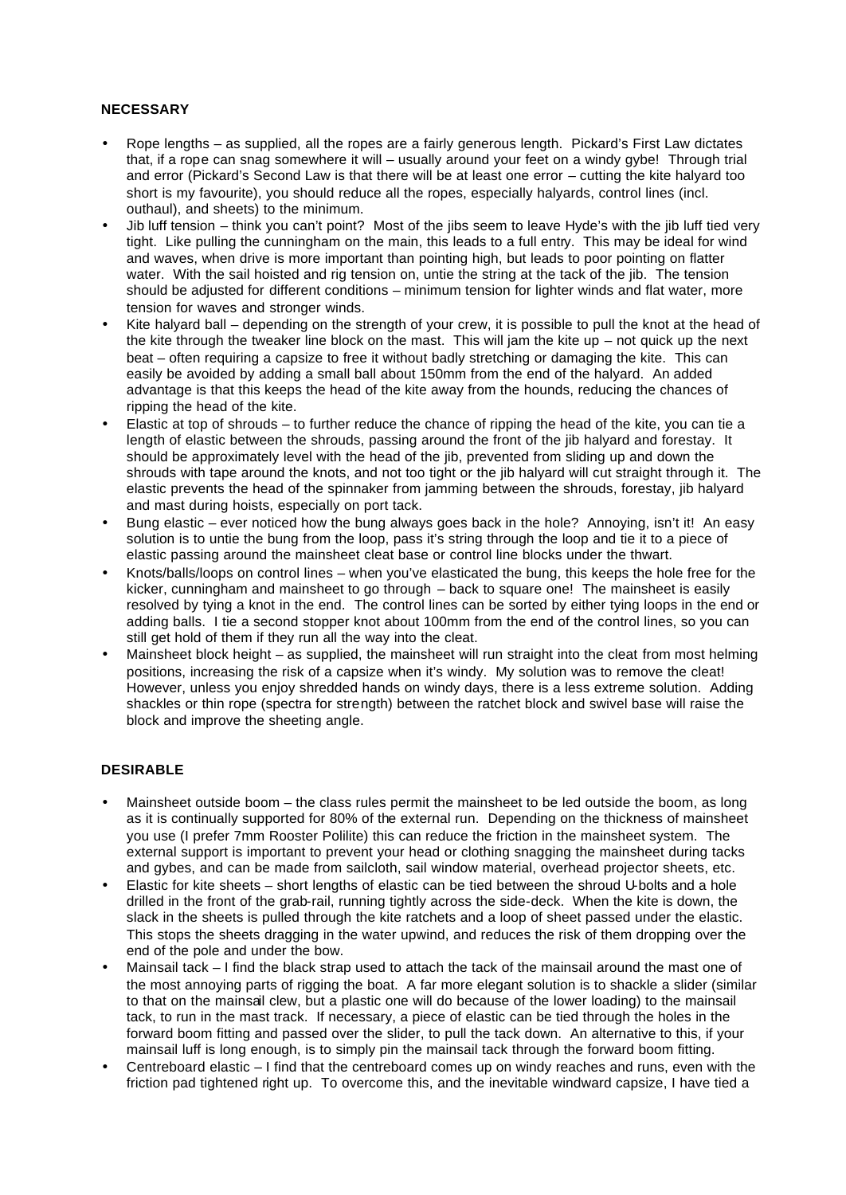### **NECESSARY**

- Rope lengths as supplied, all the ropes are a fairly generous length. Pickard's First Law dictates that, if a rope can snag somewhere it will – usually around your feet on a windy gybe! Through trial and error (Pickard's Second Law is that there will be at least one error – cutting the kite halyard too short is my favourite), you should reduce all the ropes, especially halyards, control lines (incl. outhaul), and sheets) to the minimum.
- Jib luff tension think you can't point? Most of the jibs seem to leave Hyde's with the jib luff tied very tight. Like pulling the cunningham on the main, this leads to a full entry. This may be ideal for wind and waves, when drive is more important than pointing high, but leads to poor pointing on flatter water. With the sail hoisted and rig tension on, untie the string at the tack of the jib. The tension should be adjusted for different conditions – minimum tension for lighter winds and flat water, more tension for waves and stronger winds.
- Kite halyard ball depending on the strength of your crew, it is possible to pull the knot at the head of the kite through the tweaker line block on the mast. This will jam the kite up  $-$  not quick up the next beat – often requiring a capsize to free it without badly stretching or damaging the kite. This can easily be avoided by adding a small ball about 150mm from the end of the halyard. An added advantage is that this keeps the head of the kite away from the hounds, reducing the chances of ripping the head of the kite.
- Elastic at top of shrouds to further reduce the chance of ripping the head of the kite, you can tie a length of elastic between the shrouds, passing around the front of the jib halyard and forestay. It should be approximately level with the head of the jib, prevented from sliding up and down the shrouds with tape around the knots, and not too tight or the jib halyard will cut straight through it. The elastic prevents the head of the spinnaker from jamming between the shrouds, forestay, jib halyard and mast during hoists, especially on port tack.
- Bung elastic ever noticed how the bung always goes back in the hole? Annoying, isn't it! An easy solution is to untie the bung from the loop, pass it's string through the loop and tie it to a piece of elastic passing around the mainsheet cleat base or control line blocks under the thwart.
- Knots/balls/loops on control lines when you've elasticated the bung, this keeps the hole free for the kicker, cunningham and mainsheet to go through – back to square one! The mainsheet is easily resolved by tying a knot in the end. The control lines can be sorted by either tying loops in the end or adding balls. I tie a second stopper knot about 100mm from the end of the control lines, so you can still get hold of them if they run all the way into the cleat.
- Mainsheet block height as supplied, the mainsheet will run straight into the cleat from most helming positions, increasing the risk of a capsize when it's windy. My solution was to remove the cleat! However, unless you enjoy shredded hands on windy days, there is a less extreme solution. Adding shackles or thin rope (spectra for strength) between the ratchet block and swivel base will raise the block and improve the sheeting angle.

## **DESIRABLE**

- Mainsheet outside boom the class rules permit the mainsheet to be led outside the boom, as long as it is continually supported for 80% of the external run. Depending on the thickness of mainsheet you use (I prefer 7mm Rooster Polilite) this can reduce the friction in the mainsheet system. The external support is important to prevent your head or clothing snagging the mainsheet during tacks and gybes, and can be made from sailcloth, sail window material, overhead projector sheets, etc.
- Elastic for kite sheets short lengths of elastic can be tied between the shroud U-bolts and a hole drilled in the front of the grab-rail, running tightly across the side-deck. When the kite is down, the slack in the sheets is pulled through the kite ratchets and a loop of sheet passed under the elastic. This stops the sheets dragging in the water upwind, and reduces the risk of them dropping over the end of the pole and under the bow.
- Mainsail tack I find the black strap used to attach the tack of the mainsail around the mast one of the most annoying parts of rigging the boat. A far more elegant solution is to shackle a slider (similar to that on the mainsail clew, but a plastic one will do because of the lower loading) to the mainsail tack, to run in the mast track. If necessary, a piece of elastic can be tied through the holes in the forward boom fitting and passed over the slider, to pull the tack down. An alternative to this, if your mainsail luff is long enough, is to simply pin the mainsail tack through the forward boom fitting.
- Centreboard elastic I find that the centreboard comes up on windy reaches and runs, even with the friction pad tightened right up. To overcome this, and the inevitable windward capsize, I have tied a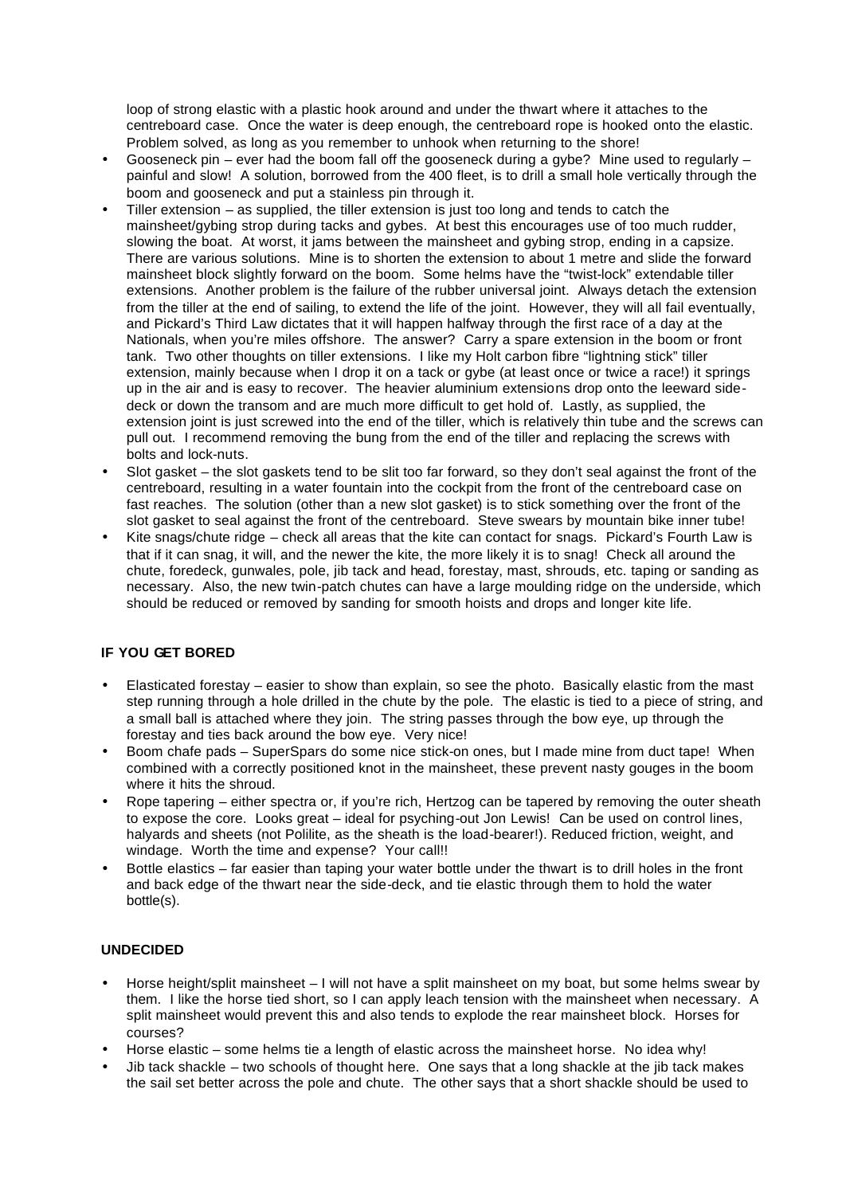loop of strong elastic with a plastic hook around and under the thwart where it attaches to the centreboard case. Once the water is deep enough, the centreboard rope is hooked onto the elastic. Problem solved, as long as you remember to unhook when returning to the shore!

- Gooseneck pin ever had the boom fall off the gooseneck during a gybe? Mine used to regularly painful and slow! A solution, borrowed from the 400 fleet, is to drill a small hole vertically through the boom and gooseneck and put a stainless pin through it.
- Tiller extension as supplied, the tiller extension is just too long and tends to catch the mainsheet/gybing strop during tacks and gybes. At best this encourages use of too much rudder, slowing the boat. At worst, it jams between the mainsheet and gybing strop, ending in a capsize. There are various solutions. Mine is to shorten the extension to about 1 metre and slide the forward mainsheet block slightly forward on the boom. Some helms have the "twist-lock" extendable tiller extensions. Another problem is the failure of the rubber universal joint. Always detach the extension from the tiller at the end of sailing, to extend the life of the joint. However, they will all fail eventually, and Pickard's Third Law dictates that it will happen halfway through the first race of a day at the Nationals, when you're miles offshore. The answer? Carry a spare extension in the boom or front tank. Two other thoughts on tiller extensions. I like my Holt carbon fibre "lightning stick" tiller extension, mainly because when I drop it on a tack or gybe (at least once or twice a race!) it springs up in the air and is easy to recover. The heavier aluminium extensions drop onto the leeward sidedeck or down the transom and are much more difficult to get hold of. Lastly, as supplied, the extension joint is just screwed into the end of the tiller, which is relatively thin tube and the screws can pull out. I recommend removing the bung from the end of the tiller and replacing the screws with bolts and lock-nuts.
- Slot gasket the slot gaskets tend to be slit too far forward, so they don't seal against the front of the centreboard, resulting in a water fountain into the cockpit from the front of the centreboard case on fast reaches. The solution (other than a new slot gasket) is to stick something over the front of the slot gasket to seal against the front of the centreboard. Steve swears by mountain bike inner tube!
- Kite snags/chute ridge check all areas that the kite can contact for snags. Pickard's Fourth Law is that if it can snag, it will, and the newer the kite, the more likely it is to snag! Check all around the chute, foredeck, gunwales, pole, jib tack and head, forestay, mast, shrouds, etc. taping or sanding as necessary. Also, the new twin-patch chutes can have a large moulding ridge on the underside, which should be reduced or removed by sanding for smooth hoists and drops and longer kite life.

## **IF YOU GET BORED**

- Elasticated forestay easier to show than explain, so see the photo. Basically elastic from the mast step running through a hole drilled in the chute by the pole. The elastic is tied to a piece of string, and a small ball is attached where they join. The string passes through the bow eye, up through the forestay and ties back around the bow eye. Very nice!
- Boom chafe pads SuperSpars do some nice stick-on ones, but I made mine from duct tape! When combined with a correctly positioned knot in the mainsheet, these prevent nasty gouges in the boom where it hits the shroud.
- Rope tapering either spectra or, if you're rich, Hertzog can be tapered by removing the outer sheath to expose the core. Looks great – ideal for psyching-out Jon Lewis! Can be used on control lines, halyards and sheets (not Polilite, as the sheath is the load-bearer!). Reduced friction, weight, and windage. Worth the time and expense? Your call!!
- Bottle elastics far easier than taping your water bottle under the thwart is to drill holes in the front and back edge of the thwart near the side-deck, and tie elastic through them to hold the water bottle(s).

## **UNDECIDED**

- Horse height/split mainsheet I will not have a split mainsheet on my boat, but some helms swear by them. I like the horse tied short, so I can apply leach tension with the mainsheet when necessary. A split mainsheet would prevent this and also tends to explode the rear mainsheet block. Horses for courses?
- Horse elastic some helms tie a length of elastic across the mainsheet horse. No idea why!
- Jib tack shackle two schools of thought here. One says that a long shackle at the jib tack makes the sail set better across the pole and chute. The other says that a short shackle should be used to